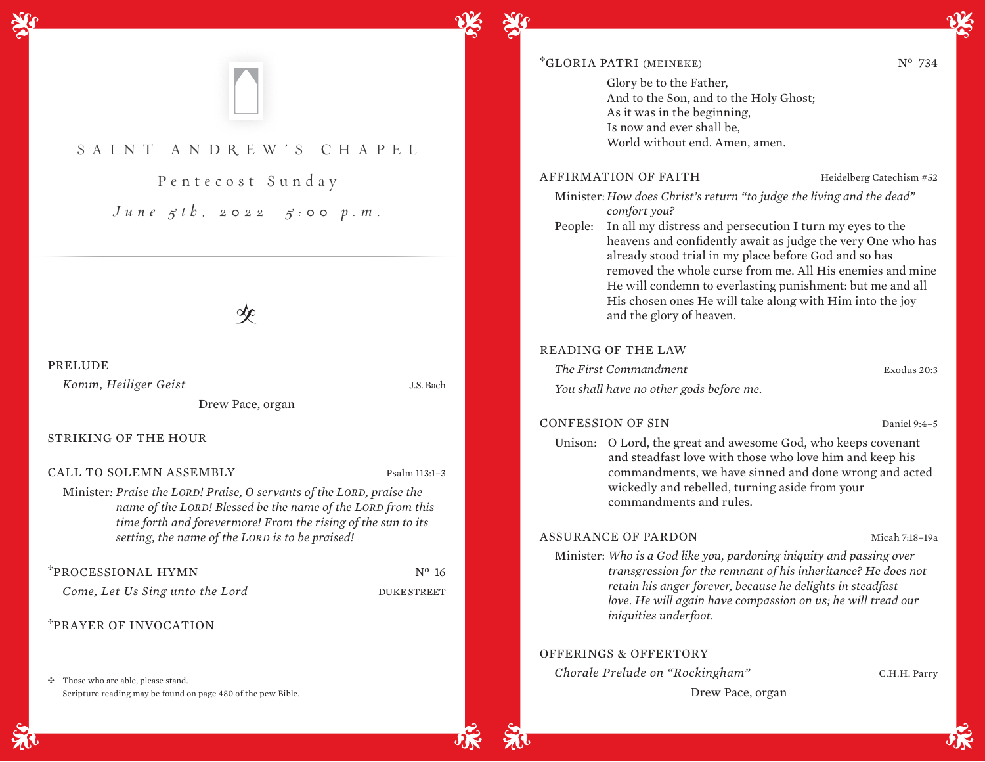

# SAINT ANDR EW'S CHAPEL

Pentecost Sunday *June 5th, 2022 5:00 p.m.*

 $\infty$ 

### PRELUDE

*Komm, Heiliger Geist* J.S. Bach

Drew Pace, organ

### STRIKING OF THE HOUR

CALL TO SOLEMN ASSEMBLY Psalm 113:1–3

Minister*: Praise the LORD! Praise, O servants of the LORD, praise the name of the LORD! Blessed be the name of the LORD from this time forth and forevermore! From the rising of the sun to its setting, the name of the LORD is to be praised!* 

## <sup>\*</sup>PROCESSIONAL HYMN Nº 16

*Come, Let Us Sing unto the Lord* **DUKE STREET** 

<sup>E</sup>PRAYER OF INVOCATION

 $\div$  Those who are able, please stand. Scripture reading may be found on page 480 of the pew Bible.

## \*GLORIA PATRI (MEINEKE) Nº 734

 Glory be to the Father, And to the Son, and to the Holy Ghost; As it was in the beginning, Is now and ever shall be, World without end. Amen, amen.

## AFFIRMATION OF FAITH Heidelberg Catechism #52

Minister: *How does Christ's return "to judge the living and the dead" comfort you?*

People: In all my distress and persecution I turn my eyes to the heavens and confidently await as judge the very One who has already stood trial in my place before God and so has removed the whole curse from me. All His enemies and mine He will condemn to everlasting punishment: but me and all His chosen ones He will take along with Him into the joy and the glory of heaven.

## READING OF THE LAW

*The First Commandment* Exodus 20:3 *You shall have no other gods before me.*

#### CONFESSION OF SIN Daniel 9:4-5

Unison: O Lord, the great and awesome God, who keeps covenant and steadfast love with those who love him and keep his commandments, we have sinned and done wrong and acted wickedly and rebelled, turning aside from your commandments and rules.

### ASSURANCE OF PARDON Micah 7:18–19a

Minister: *Who is a God like you, pardoning iniquity and passing over transgression for the remnant of his inheritance? He does not retain his anger forever, because he delights in steadfast love. He will again have compassion on us; he will tread our iniquities underfoot.* 

## OFFERINGS & OFFERTORY

*Chorale Prelude on "Rockingham"* C.H.H. Parry

Drew Pace, organ